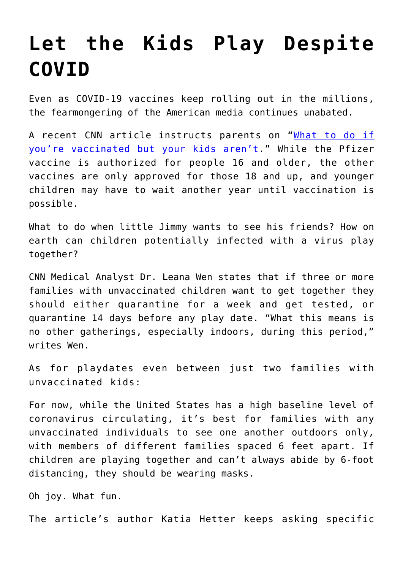## **[Let the Kids Play Despite](https://intellectualtakeout.org/2021/03/let-the-kids-play-despite-covid/) [COVID](https://intellectualtakeout.org/2021/03/let-the-kids-play-despite-covid/)**

Even as COVID-19 vaccines keep rolling out in the millions, the fearmongering of the American media continues unabated.

A recent CNN article instructs parents on "[What to do if](https://www.cnn.com/2021/03/25/health/parents-covid-vaccine-wen-wellness/index.html) [you're vaccinated but your kids aren't](https://www.cnn.com/2021/03/25/health/parents-covid-vaccine-wen-wellness/index.html)." While the Pfizer vaccine is authorized for people 16 and older, the other vaccines are only approved for those 18 and up, and younger children may have to wait another year until vaccination is possible.

What to do when little Jimmy wants to see his friends? How on earth can children potentially infected with a virus play together?

CNN Medical Analyst Dr. Leana Wen states that if three or more families with unvaccinated children want to get together they should either quarantine for a week and get tested, or quarantine 14 days before any play date. "What this means is no other gatherings, especially indoors, during this period," writes Wen.

As for playdates even between just two families with unvaccinated kids:

For now, while the United States has a high baseline level of coronavirus circulating, it's best for families with any unvaccinated individuals to see one another outdoors only, with members of different families spaced 6 feet apart. If children are playing together and can't always abide by 6-foot distancing, they should be wearing masks.

Oh joy. What fun.

The article's author Katia Hetter keeps asking specific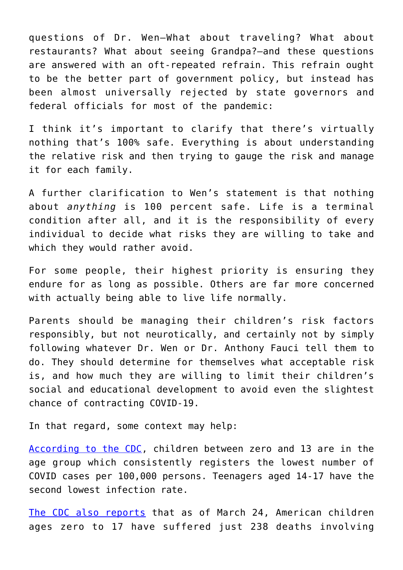questions of Dr. Wen—What about traveling? What about restaurants? What about seeing Grandpa?—and these questions are answered with an oft-repeated refrain. This refrain ought to be the better part of government policy, but instead has been almost universally rejected by state governors and federal officials for most of the pandemic:

I think it's important to clarify that there's virtually nothing that's 100% safe. Everything is about understanding the relative risk and then trying to gauge the risk and manage it for each family.

A further clarification to Wen's statement is that nothing about *anything* is 100 percent safe. Life is a terminal condition after all, and it is the responsibility of every individual to decide what risks they are willing to take and which they would rather avoid.

For some people, their highest priority is ensuring they endure for as long as possible. Others are far more concerned with actually being able to live life normally.

Parents should be managing their children's risk factors responsibly, but not neurotically, and certainly not by simply following whatever Dr. Wen or Dr. Anthony Fauci tell them to do. They should determine for themselves what acceptable risk is, and how much they are willing to limit their children's social and educational development to avoid even the slightest chance of contracting COVID-19.

In that regard, some context may help:

[According to the CDC,](https://www.cdc.gov/mmwr/volumes/69/wr/mm695152a8.htm) children between zero and 13 are in the age group which consistently registers the lowest number of COVID cases per 100,000 persons. Teenagers aged 14-17 have the second lowest infection rate.

[The CDC also reports](https://www.cdc.gov/nchs/nvss/vsrr/covid_weekly/index.htm#AgeAndSex) that as of March 24, American children ages zero to 17 have suffered just 238 deaths involving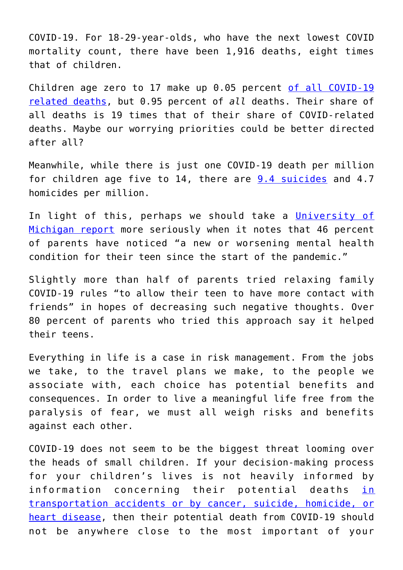COVID-19. For 18-29-year-olds, who have the next lowest COVID mortality count, there have been 1,916 deaths, eight times that of children.

Children age zero to 17 make up 0.05 percent [of all COVID-19](https://www.cdc.gov/nchs/nvss/vsrr/covid_weekly/index.htm#AgeAndSex) [related deaths,](https://www.cdc.gov/nchs/nvss/vsrr/covid_weekly/index.htm#AgeAndSex) but 0.95 percent of *all* deaths. Their share of all deaths is 19 times that of their share of COVID-related deaths. Maybe our worrying priorities could be better directed after all?

Meanwhile, while there is just one COVID-19 death per million for children age five to 14, there are  $9.4$  suicides and 4.7 homicides per million.

In light of this, perhaps we should take a [University of](https://mottpoll.org/sites/default/files/documents/031521_MentalHealth.pdf) [Michigan report](https://mottpoll.org/sites/default/files/documents/031521_MentalHealth.pdf) more seriously when it notes that 46 percent of parents have noticed "a new or worsening mental health condition for their teen since the start of the pandemic."

Slightly more than half of parents tried relaxing family COVID-19 rules "to allow their teen to have more contact with friends" in hopes of decreasing such negative thoughts. Over 80 percent of parents who tried this approach say it helped their teens.

Everything in life is a case in risk management. From the jobs we take, to the travel plans we make, to the people we associate with, each choice has potential benefits and consequences. In order to live a meaningful life free from the paralysis of fear, we must all weigh risks and benefits against each other.

COVID-19 does not seem to be the biggest threat looming over the heads of small children. If your decision-making process for your children's lives is not heavily informed by information concerning their potential deaths in [transportation accidents or by cancer, suicide, homicide, or](https://www.scientificamerican.com/article/science-and-society-are-failing-children-in-the-covid-era/) [heart disease](https://www.scientificamerican.com/article/science-and-society-are-failing-children-in-the-covid-era/), then their potential death from COVID-19 should not be anywhere close to the most important of your